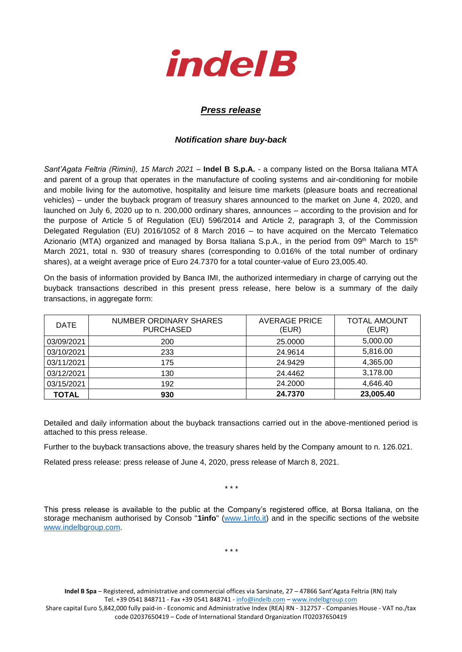

## *Press release*

## *Notification share buy-back*

*Sant'Agata Feltria (Rimini), 15 March 2021* – **Indel B S.p.A.** - a company listed on the Borsa Italiana MTA and parent of a group that operates in the manufacture of cooling systems and air-conditioning for mobile and mobile living for the automotive, hospitality and leisure time markets (pleasure boats and recreational vehicles) – under the buyback program of treasury shares announced to the market on June 4, 2020, and launched on July 6, 2020 up to n. 200,000 ordinary shares, announces – according to the provision and for the purpose of Article 5 of Regulation (EU) 596/2014 and Article 2, paragraph 3, of the Commission Delegated Regulation (EU) 2016/1052 of 8 March 2016 – to have acquired on the Mercato Telematico Azionario (MTA) organized and managed by Borsa Italiana S.p.A., in the period from 09<sup>th</sup> March to 15<sup>th</sup> March 2021, total n. 930 of treasury shares (corresponding to 0.016% of the total number of ordinary shares), at a weight average price of Euro 24.7370 for a total counter-value of Euro 23,005.40.

On the basis of information provided by Banca IMI, the authorized intermediary in charge of carrying out the buyback transactions described in this present press release, here below is a summary of the daily transactions, in aggregate form:

| <b>DATE</b> | NUMBER ORDINARY SHARES<br><b>PURCHASED</b> | <b>AVERAGE PRICE</b><br>(EUR) | <b>TOTAL AMOUNT</b><br>(EUR) |
|-------------|--------------------------------------------|-------------------------------|------------------------------|
| 03/09/2021  | 200                                        | 25,0000                       | 5,000.00                     |
| 03/10/2021  | 233                                        | 24.9614                       | 5,816.00                     |
| 03/11/2021  | 175                                        | 24.9429                       | 4,365.00                     |
| 03/12/2021  | 130                                        | 24.4462                       | 3,178.00                     |
| 03/15/2021  | 192                                        | 24.2000                       | 4,646.40                     |
| TOTAL       | 930                                        | 24.7370                       | 23,005.40                    |

Detailed and daily information about the buyback transactions carried out in the above-mentioned period is attached to this press release.

Further to the buyback transactions above, the treasury shares held by the Company amount to n. 126.021.

Related press release: press release of June 4, 2020, press release of March 8, 2021.

\* \* \*

This press release is available to the public at the Company's registered office, at Borsa Italiana, on the storage mechanism authorised by Consob "**1info**" [\(www.1info.it\)](file:///C:/Users/ddelietovollaro/AppData/Local/Microsoft/Windows/INetCache/Content.Outlook/T87B94UR/www.1info.it) and in the specific sections of the website [www.indelbgroup.com.](http://www.indelbgroup.com/)

\* \* \*

**Indel B Spa** – Registered, administrative and commercial offices via Sarsinate, 27 – 47866 Sant'Agata Feltria (RN) Italy Tel. +39 0541 848711 - Fax +39 0541 848741 - [info@indelb.com](mailto:info@indelb.com) – [www.indelbgroup.com](http://www.indelbgroup.com/) Share capital Euro 5,842,000 fully paid-in - Economic and Administrative Index (REA) RN - 312757 - Companies House - VAT no./tax code 02037650419 – Code of International Standard Organization IT02037650419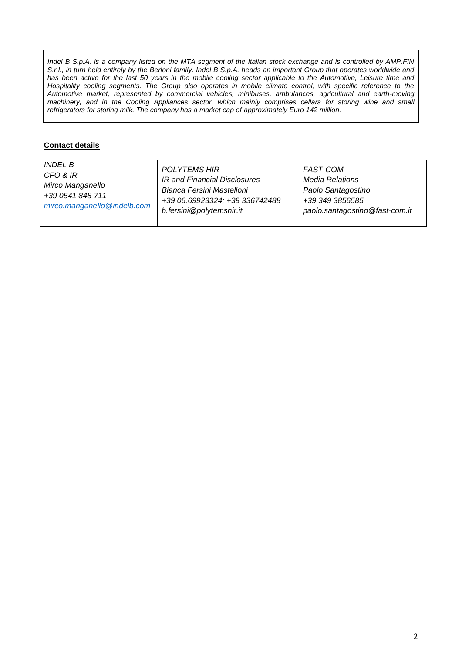*Indel B S.p.A. is a company listed on the MTA segment of the Italian stock exchange and is controlled by AMP.FIN S.r.l., in turn held entirely by the Berloni family. Indel B S.p.A. heads an important Group that operates worldwide and* has been active for the last 50 years in the mobile cooling sector applicable to the Automotive, Leisure time and Hospitality cooling segments. The Group also operates in mobile climate control, with specific reference to the *Automotive market, represented by commercial vehicles, minibuses, ambulances, agricultural and earth-moving machinery, and in the Cooling Appliances sector, which mainly comprises cellars for storing wine and small refrigerators for storing milk. The company has a market cap of approximately Euro 142 million.*

## **Contact details**

| <i>INDEL B</i>              | POLYTEMS HIR                   | FAST-COM                       |
|-----------------------------|--------------------------------|--------------------------------|
| CFO & IR                    | IR and Financial Disclosures   | Media Relations                |
| Mirco Manganello            | Bianca Fersini Mastelloni      | Paolo Santagostino             |
| +39 0541 848 711            | +39 06.69923324; +39 336742488 | +39 349 3856585                |
| mirco.manganello@indelb.com | b.fersini@polytemshir.it       | paolo.santagostino@fast-com.it |